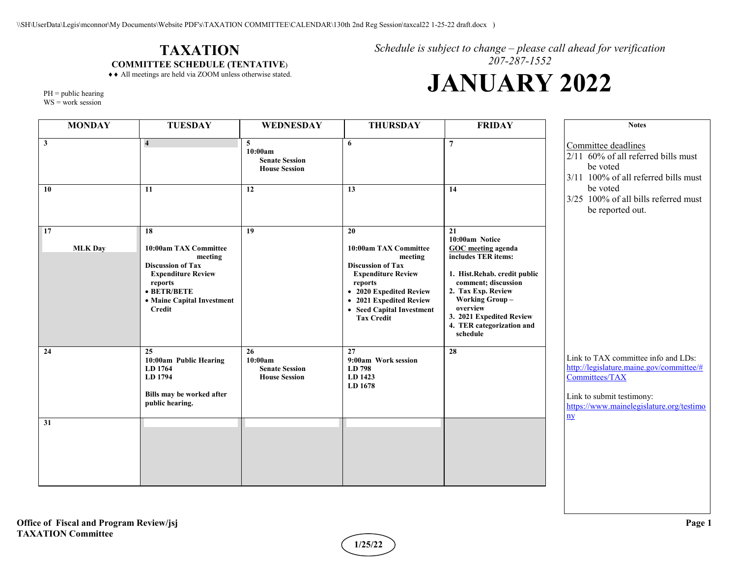#### **TAXATION COMMITTEE SCHEDULE (TENTATIVE**)

♦♦ All meetings are held via ZOOM unless otherwise stated.

*Schedule is subject to change – please call ahead for verification 207-287-1552*

# **JANUARY 2022**

PH = public hearing

 $WS = work$  session

| <b>MONDAY</b>               | <b>TUESDAY</b>                                                                                                                                                            | WEDNESDAY                                                      | <b>THURSDAY</b>                                                                                                                                                                                                    | <b>FRIDAY</b>                                                                                                                                                                                                                                                   | <b>Notes</b>                                                                                                                                                                             |
|-----------------------------|---------------------------------------------------------------------------------------------------------------------------------------------------------------------------|----------------------------------------------------------------|--------------------------------------------------------------------------------------------------------------------------------------------------------------------------------------------------------------------|-----------------------------------------------------------------------------------------------------------------------------------------------------------------------------------------------------------------------------------------------------------------|------------------------------------------------------------------------------------------------------------------------------------------------------------------------------------------|
| $\overline{\mathbf{3}}$     | $\overline{4}$                                                                                                                                                            | 5<br>10:00am<br><b>Senate Session</b><br><b>House Session</b>  | 6                                                                                                                                                                                                                  | $\overline{7}$                                                                                                                                                                                                                                                  | Committee deadlines<br>2/11 60% of all referred bills must<br>be voted<br>3/11 100% of all referred bills must                                                                           |
| <b>10</b>                   | 11                                                                                                                                                                        | 12                                                             | 13                                                                                                                                                                                                                 | 14                                                                                                                                                                                                                                                              | be voted<br>3/25 100% of all bills referred must<br>be reported out.                                                                                                                     |
| <b>17</b><br><b>MLK Day</b> | 18<br>10:00am TAX Committee<br>meeting<br><b>Discussion of Tax</b><br><b>Expenditure Review</b><br>reports<br>$\bullet$ BETR/BETE<br>• Maine Capital Investment<br>Credit | 19                                                             | 20<br>10:00am TAX Committee<br>meeting<br><b>Discussion of Tax</b><br><b>Expenditure Review</b><br>reports<br>• 2020 Expedited Review<br>• 2021 Expedited Review<br>• Seed Capital Investment<br><b>Tax Credit</b> | 21<br>10:00am Notice<br><b>GOC</b> meeting agenda<br>includes TER items:<br>1. Hist.Rehab. credit public<br>comment; discussion<br>2. Tax Exp. Review<br><b>Working Group-</b><br>overview<br>3. 2021 Expedited Review<br>4. TER categorization and<br>schedule |                                                                                                                                                                                          |
| 24                          | 25<br>10:00am Public Hearing<br>LD 1764<br>LD 1794<br>Bills may be worked after<br>public hearing.                                                                        | 26<br>10:00am<br><b>Senate Session</b><br><b>House Session</b> | 27<br>9:00am Work session<br>LD 798<br>LD 1423<br>LD 1678                                                                                                                                                          | 28                                                                                                                                                                                                                                                              | Link to TAX committee info and LDs:<br>http://legislature.maine.gov/committee/#<br>Committees/TAX<br>Link to submit testimony:<br>https://www.mainelegislature.org/testimo<br>n <b>y</b> |
| 31                          |                                                                                                                                                                           |                                                                |                                                                                                                                                                                                                    |                                                                                                                                                                                                                                                                 |                                                                                                                                                                                          |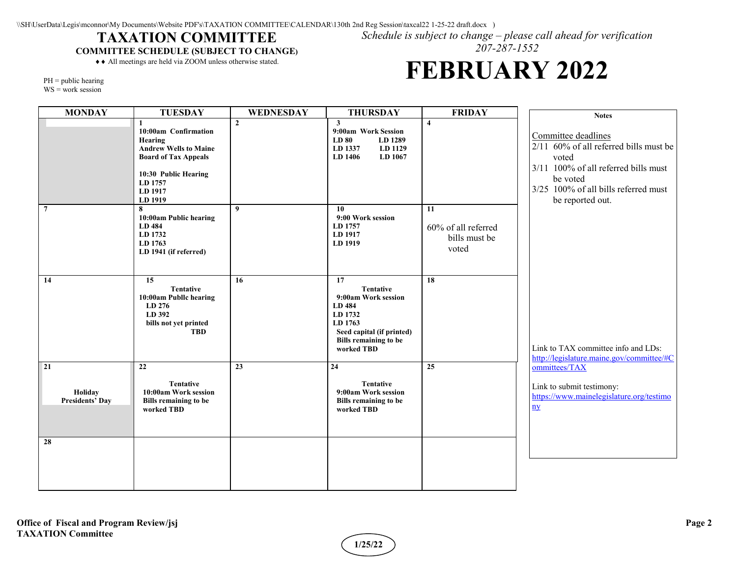#### **TAXATION COMMITTEE**

**COMMITTEE SCHEDULE (SUBJECT TO CHANGE)**

♦♦ All meetings are held via ZOOM unless otherwise stated.

*Schedule is subject to change – please call ahead for verification 207-287-1552*

## **FEBRUARY 2022**

PH = public hearing

WS = work session

| <b>MONDAY</b>                           | <b>TUESDAY</b>                                                                                                                                          | WEDNESDAY    | <b>THURSDAY</b>                                                                                                                                          | <b>FRIDAY</b>                                       | <b>Notes</b>                                                                                                                                                                           |
|-----------------------------------------|---------------------------------------------------------------------------------------------------------------------------------------------------------|--------------|----------------------------------------------------------------------------------------------------------------------------------------------------------|-----------------------------------------------------|----------------------------------------------------------------------------------------------------------------------------------------------------------------------------------------|
|                                         | 10:00am Confirmation<br>Hearing<br><b>Andrew Wells to Maine</b><br><b>Board of Tax Appeals</b><br>10:30 Public Hearing<br>LD 1757<br>LD 1917<br>LD 1919 | $\mathbf{2}$ | $\mathbf{3}$<br>9:00am Work Session<br>LD 80<br>LD 1289<br>LD 1337<br>LD 1129<br>LD 1406<br>LD 1067                                                      | $\overline{4}$                                      | Committee deadlines<br>2/11 60% of all referred bills must be<br>voted<br>3/11 100% of all referred bills must<br>be voted<br>3/25 100% of all bills referred must<br>be reported out. |
| $\overline{7}$                          | 8<br>10:00am Public hearing<br>LD 484<br>LD 1732<br>LD 1763<br>LD 1941 (if referred)                                                                    | 9            | 10<br>9:00 Work session<br>LD 1757<br>LD 1917<br>LD 1919                                                                                                 | 11<br>60% of all referred<br>bills must be<br>voted |                                                                                                                                                                                        |
| 14                                      | 15<br><b>Tentative</b><br>10:00am Publlc hearing<br>LD 276<br>LD 392<br>bills not yet printed<br><b>TBD</b>                                             | 16           | 17<br><b>Tentative</b><br>9:00am Work session<br>LD 484<br>LD 1732<br>LD 1763<br>Seed capital (if printed)<br><b>Bills remaining to be</b><br>worked TBD | 18                                                  | Link to TAX committee info and LDs:<br>http://legislature.maine.gov/committee/#C                                                                                                       |
| 21<br>Holiday<br><b>Presidents' Day</b> | 22<br><b>Tentative</b><br>10:00am Work session<br><b>Bills remaining to be</b><br>worked TBD                                                            | 23           | 24<br><b>Tentative</b><br>9:00am Work session<br><b>Bills remaining to be</b><br>worked TBD                                                              | 25                                                  | ommittees/TAX<br>Link to submit testimony:<br>https://www.mainelegislature.org/testimo<br>$\mathbf{p}$                                                                                 |
| 28                                      |                                                                                                                                                         |              |                                                                                                                                                          |                                                     |                                                                                                                                                                                        |